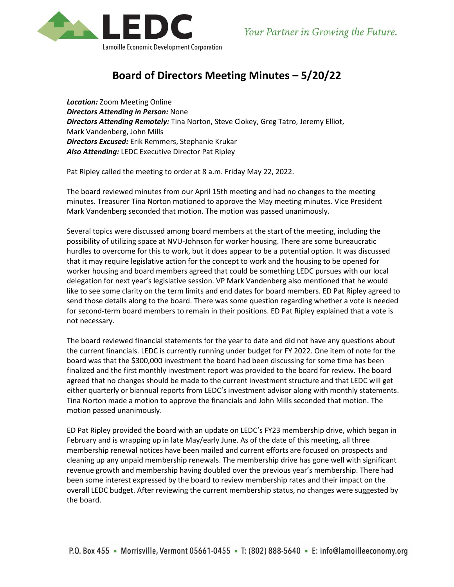

## **Board of Directors Meeting Minutes – 5/20/22**

*Location:* Zoom Meeting Online *Directors Attending in Person:* None *Directors Attending Remotely:* Tina Norton, Steve Clokey, Greg Tatro, Jeremy Elliot, Mark Vandenberg, John Mills *Directors Excused:* Erik Remmers, Stephanie Krukar *Also Attending:* LEDC Executive Director Pat Ripley

Pat Ripley called the meeting to order at 8 a.m. Friday May 22, 2022.

The board reviewed minutes from our April 15th meeting and had no changes to the meeting minutes. Treasurer Tina Norton motioned to approve the May meeting minutes. Vice President Mark Vandenberg seconded that motion. The motion was passed unanimously.

Several topics were discussed among board members at the start of the meeting, including the possibility of utilizing space at NVU-Johnson for worker housing. There are some bureaucratic hurdles to overcome for this to work, but it does appear to be a potential option. It was discussed that it may require legislative action for the concept to work and the housing to be opened for worker housing and board members agreed that could be something LEDC pursues with our local delegation for next year's legislative session. VP Mark Vandenberg also mentioned that he would like to see some clarity on the term limits and end dates for board members. ED Pat Ripley agreed to send those details along to the board. There was some question regarding whether a vote is needed for second-term board members to remain in their positions. ED Pat Ripley explained that a vote is not necessary.

The board reviewed financial statements for the year to date and did not have any questions about the current financials. LEDC is currently running under budget for FY 2022. One item of note for the board was that the \$300,000 investment the board had been discussing for some time has been finalized and the first monthly investment report was provided to the board for review. The board agreed that no changes should be made to the current investment structure and that LEDC will get either quarterly or biannual reports from LEDC's investment advisor along with monthly statements. Tina Norton made a motion to approve the financials and John Mills seconded that motion. The motion passed unanimously.

ED Pat Ripley provided the board with an update on LEDC's FY23 membership drive, which began in February and is wrapping up in late May/early June. As of the date of this meeting, all three membership renewal notices have been mailed and current efforts are focused on prospects and cleaning up any unpaid membership renewals. The membership drive has gone well with significant revenue growth and membership having doubled over the previous year's membership. There had been some interest expressed by the board to review membership rates and their impact on the overall LEDC budget. After reviewing the current membership status, no changes were suggested by the board.